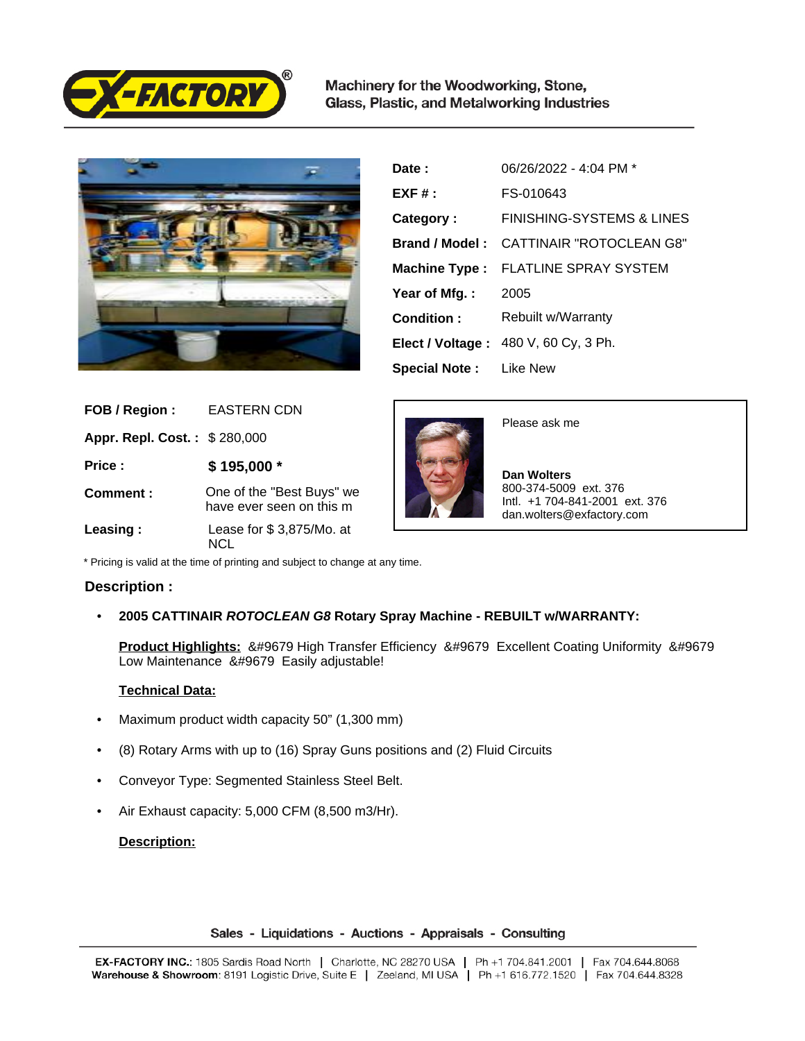

Machinery for the Woodworking, Stone, Glass, Plastic, and Metalworking Industries



| Date:                         | 06/26/2022 - 4:04 PM *               |
|-------------------------------|--------------------------------------|
| $EXF#$ :                      | FS-010643                            |
| Category:                     | FINISHING-SYSTEMS & LINES            |
| Brand / Model:                | CATTINAIR "ROTOCLEAN G8"             |
|                               | Machine Type: FLATLINE SPRAY SYSTEM  |
| Year of Mfg.:                 | 2005                                 |
| Condition:                    | Rebuilt w/Warranty                   |
|                               | Elect / Voltage: 480 V, 60 Cy, 3 Ph. |
| <b>Special Note:</b> Like New |                                      |

| FOB / Region:                | <b>EASTERN CDN</b>                                    |
|------------------------------|-------------------------------------------------------|
| Appr. Repl. Cost.: \$280,000 |                                                       |
| Price:                       | \$195,000 *                                           |
| Comment:                     | One of the "Best Buys" we<br>have ever seen on this m |
| Leasing:                     | Lease for \$3,875/Mo. at                              |



Please ask me

 **Dan Wolters** 800-374-5009 ext. 376 Intl. +1 704-841-2001 ext. 376 dan.wolters@exfactory.com

\* Pricing is valid at the time of printing and subject to change at any time.

# **Description :**

• **2005 CATTINAIR ROTOCLEAN G8 Rotary Spray Machine - REBUILT w/WARRANTY:**

**Product Highlights:** &#9679 High Transfer Efficiency &#9679 Excellent Coating Uniformity &#9679 Low Maintenance &#9679 Easily adjustable!

# **Technical Data:**

- Maximum product width capacity 50" (1,300 mm)
- (8) Rotary Arms with up to (16) Spray Guns positions and (2) Fluid Circuits
- Conveyor Type: Segmented Stainless Steel Belt.
- Air Exhaust capacity: 5,000 CFM (8,500 m3/Hr).

# **Description:**

Sales - Liquidations - Auctions - Appraisals - Consulting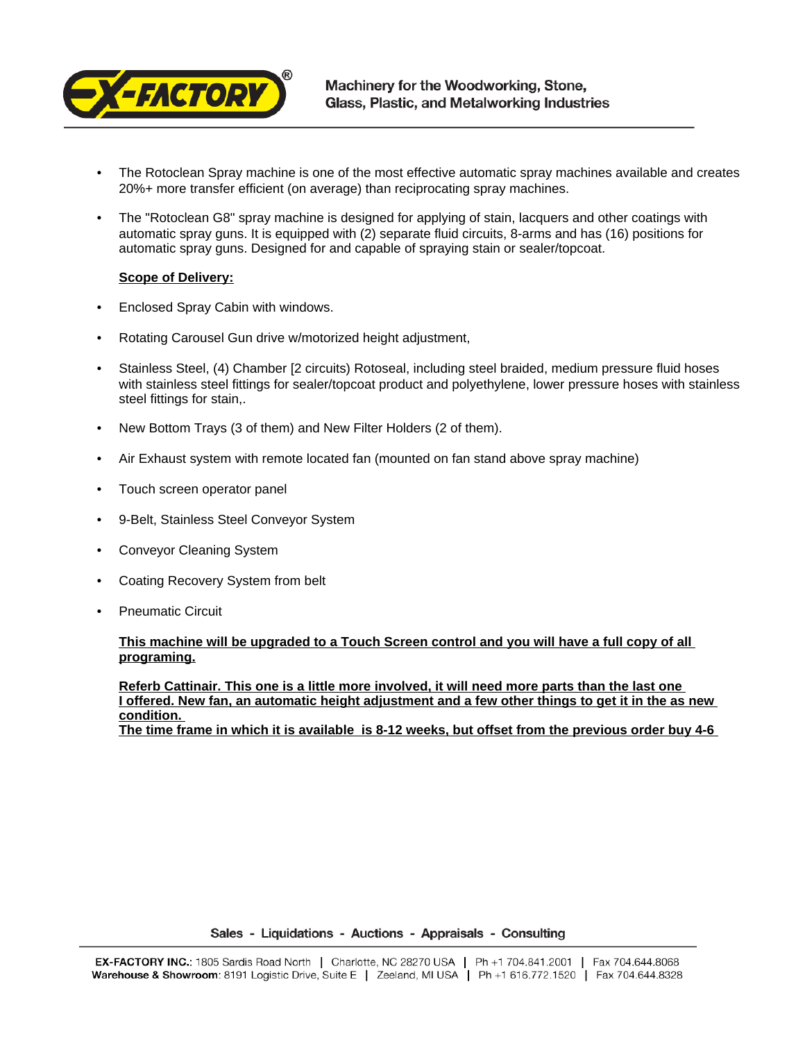

- The Rotoclean Spray machine is one of the most effective automatic spray machines available and creates 20%+ more transfer efficient (on average) than reciprocating spray machines.
- The "Rotoclean G8" spray machine is designed for applying of stain, lacquers and other coatings with automatic spray guns. It is equipped with (2) separate fluid circuits, 8-arms and has (16) positions for automatic spray guns. Designed for and capable of spraying stain or sealer/topcoat.

## **Scope of Delivery:**

- Enclosed Spray Cabin with windows.
- Rotating Carousel Gun drive w/motorized height adjustment,
- Stainless Steel, (4) Chamber [2 circuits) Rotoseal, including steel braided, medium pressure fluid hoses with stainless steel fittings for sealer/topcoat product and polyethylene, lower pressure hoses with stainless steel fittings for stain,.
- New Bottom Trays (3 of them) and New Filter Holders (2 of them).
- Air Exhaust system with remote located fan (mounted on fan stand above spray machine)
- Touch screen operator panel
- 9-Belt, Stainless Steel Conveyor System
- Conveyor Cleaning System
- Coating Recovery System from belt
- Pneumatic Circuit

# **This machine will be upgraded to a Touch Screen control and you will have a full copy of all programing.**

**Referb Cattinair. This one is a little more involved, it will need more parts than the last one I offered. New fan, an automatic height adjustment and a few other things to get it in the as new condition.** 

**The time frame in which it is available is 8-12 weeks, but offset from the previous order buy 4-6**

Sales - Liquidations - Auctions - Appraisals - Consulting